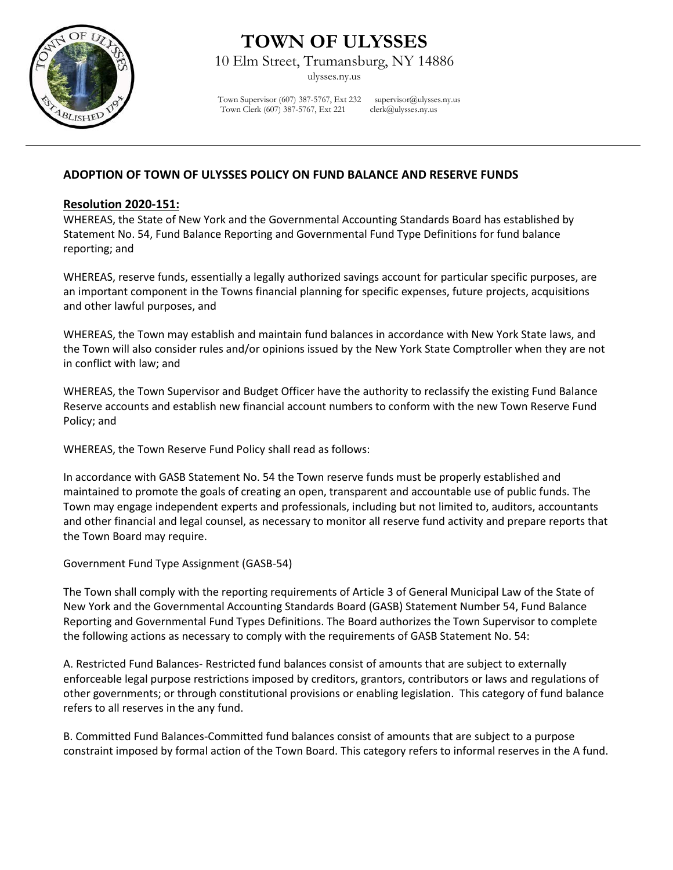

## **TOWN OF ULYSSES**

10 Elm Street, Trumansburg, NY 14886

ulysses.ny.us

Town Supervisor (607) 387-5767, Ext 232 supervisor  $(\partial \omega)$  ulysses.ny.us Town Clerk (607) 387-5767, Ext 221 clerk@ulysses.ny.us

## **ADOPTION OF TOWN OF ULYSSES POLICY ON FUND BALANCE AND RESERVE FUNDS**

## **Resolution 2020-151:**

WHEREAS, the State of New York and the Governmental Accounting Standards Board has established by Statement No. 54, Fund Balance Reporting and Governmental Fund Type Definitions for fund balance reporting; and

WHEREAS, reserve funds, essentially a legally authorized savings account for particular specific purposes, are an important component in the Towns financial planning for specific expenses, future projects, acquisitions and other lawful purposes, and

WHEREAS, the Town may establish and maintain fund balances in accordance with New York State laws, and the Town will also consider rules and/or opinions issued by the New York State Comptroller when they are not in conflict with law; and

WHEREAS, the Town Supervisor and Budget Officer have the authority to reclassify the existing Fund Balance Reserve accounts and establish new financial account numbers to conform with the new Town Reserve Fund Policy; and

WHEREAS, the Town Reserve Fund Policy shall read as follows:

In accordance with GASB Statement No. 54 the Town reserve funds must be properly established and maintained to promote the goals of creating an open, transparent and accountable use of public funds. The Town may engage independent experts and professionals, including but not limited to, auditors, accountants and other financial and legal counsel, as necessary to monitor all reserve fund activity and prepare reports that the Town Board may require.

Government Fund Type Assignment (GASB-54)

The Town shall comply with the reporting requirements of Article 3 of General Municipal Law of the State of New York and the Governmental Accounting Standards Board (GASB) Statement Number 54, Fund Balance Reporting and Governmental Fund Types Definitions. The Board authorizes the Town Supervisor to complete the following actions as necessary to comply with the requirements of GASB Statement No. 54:

A. Restricted Fund Balances- Restricted fund balances consist of amounts that are subject to externally enforceable legal purpose restrictions imposed by creditors, grantors, contributors or laws and regulations of other governments; or through constitutional provisions or enabling legislation. This category of fund balance refers to all reserves in the any fund.

B. Committed Fund Balances-Committed fund balances consist of amounts that are subject to a purpose constraint imposed by formal action of the Town Board. This category refers to informal reserves in the A fund.